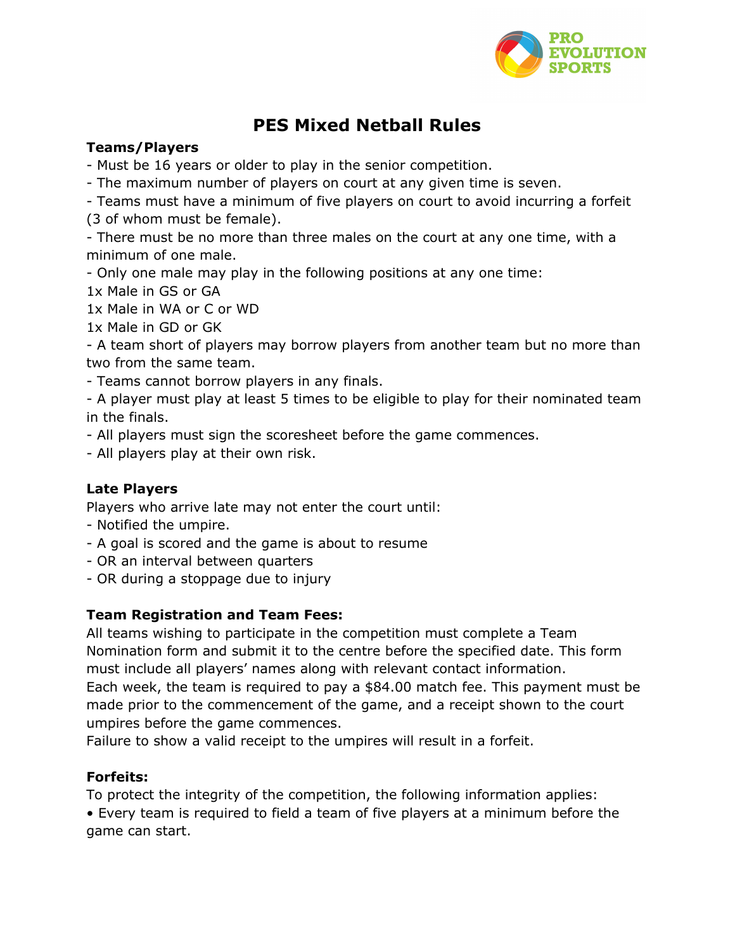

# **PES Mixed Netball Rules**

# **Teams/Players**

- Must be 16 years or older to play in the senior competition.

- The maximum number of players on court at any given time is seven.

- Teams must have a minimum of five players on court to avoid incurring a forfeit (3 of whom must be female).

- There must be no more than three males on the court at any one time, with a minimum of one male.

- Only one male may play in the following positions at any one time:

1x Male in GS or GA

1x Male in WA or C or WD

1x Male in GD or GK

- A team short of players may borrow players from another team but no more than two from the same team.

- Teams cannot borrow players in any finals.

- A player must play at least 5 times to be eligible to play for their nominated team in the finals.

- All players must sign the scoresheet before the game commences.

- All players play at their own risk.

#### **Late Players**

Players who arrive late may not enter the court until:

- Notified the umpire.
- A goal is scored and the game is about to resume
- OR an interval between quarters
- OR during a stoppage due to injury

#### **Team Registration and Team Fees:**

All teams wishing to participate in the competition must complete a Team Nomination form and submit it to the centre before the specified date. This form must include all players' names along with relevant contact information. Each week, the team is required to pay a \$84.00 match fee. This payment must be made prior to the commencement of the game, and a receipt shown to the court umpires before the game commences.

Failure to show a valid receipt to the umpires will result in a forfeit.

#### **Forfeits:**

To protect the integrity of the competition, the following information applies: • Every team is required to field a team of five players at a minimum before the game can start.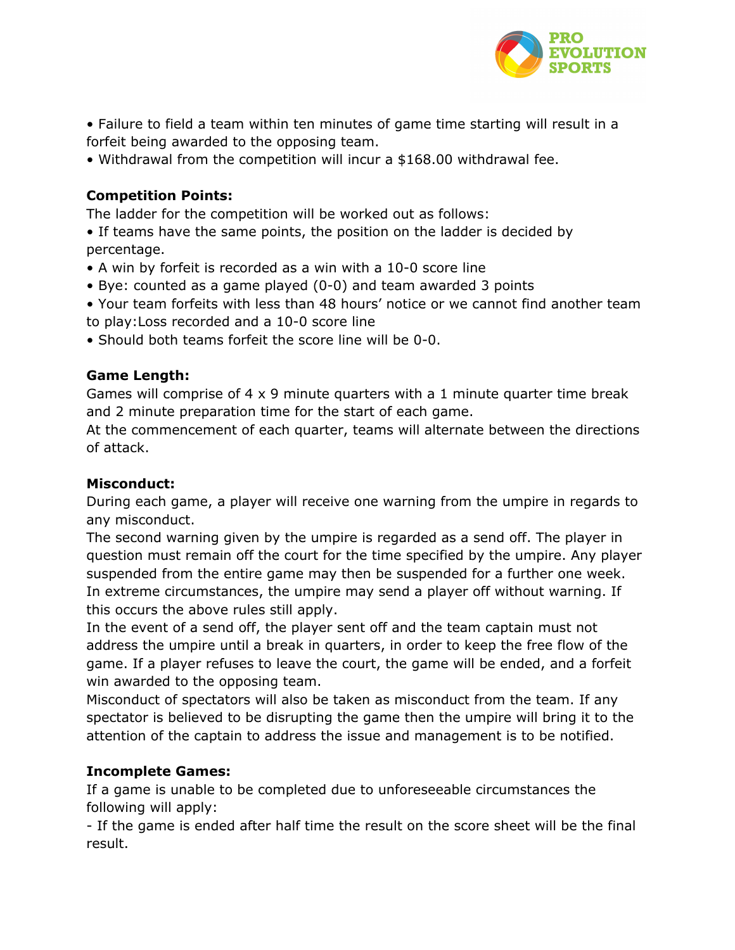

• Failure to field a team within ten minutes of game time starting will result in a forfeit being awarded to the opposing team.

• Withdrawal from the competition will incur a \$168.00 withdrawal fee.

# **Competition Points:**

The ladder for the competition will be worked out as follows:

• If teams have the same points, the position on the ladder is decided by percentage.

- A win by forfeit is recorded as a win with a 10-0 score line
- Bye: counted as a game played (0-0) and team awarded 3 points
- Your team forfeits with less than 48 hours' notice or we cannot find another team to play:Loss recorded and a 10-0 score line
- Should both teams forfeit the score line will be 0-0.

# **Game Length:**

Games will comprise of 4 x 9 minute quarters with a 1 minute quarter time break and 2 minute preparation time for the start of each game.

At the commencement of each quarter, teams will alternate between the directions of attack.

## **Misconduct:**

During each game, a player will receive one warning from the umpire in regards to any misconduct.

The second warning given by the umpire is regarded as a send off. The player in question must remain off the court for the time specified by the umpire. Any player suspended from the entire game may then be suspended for a further one week. In extreme circumstances, the umpire may send a player off without warning. If this occurs the above rules still apply.

In the event of a send off, the player sent off and the team captain must not address the umpire until a break in quarters, in order to keep the free flow of the game. If a player refuses to leave the court, the game will be ended, and a forfeit win awarded to the opposing team.

Misconduct of spectators will also be taken as misconduct from the team. If any spectator is believed to be disrupting the game then the umpire will bring it to the attention of the captain to address the issue and management is to be notified.

#### **Incomplete Games:**

If a game is unable to be completed due to unforeseeable circumstances the following will apply:

- If the game is ended after half time the result on the score sheet will be the final result.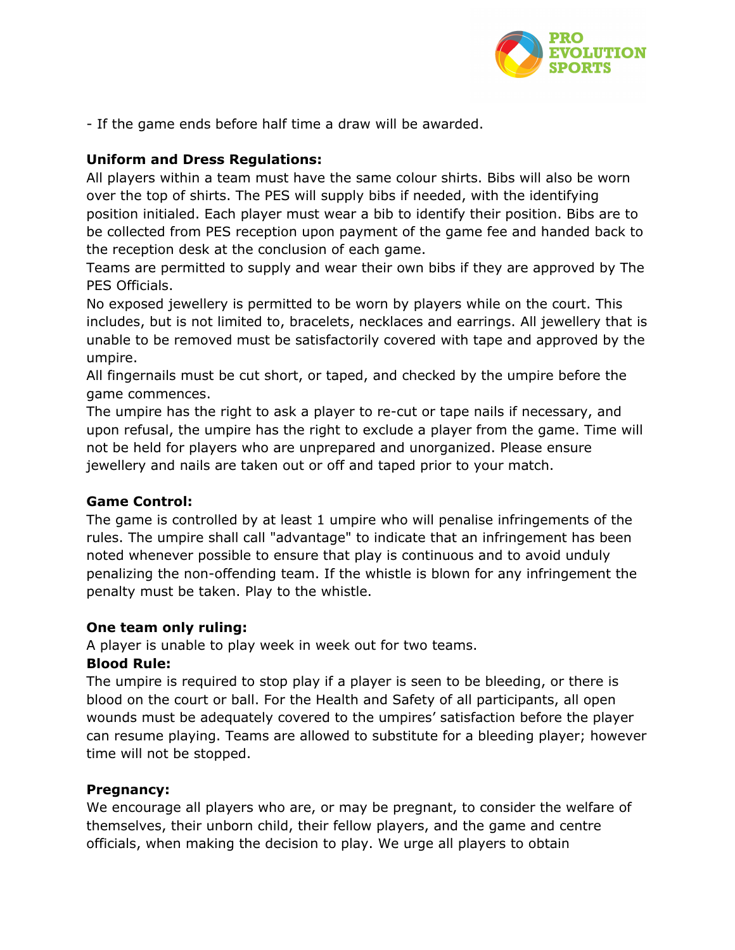

- If the game ends before half time a draw will be awarded.

## **Uniform and Dress Regulations:**

All players within a team must have the same colour shirts. Bibs will also be worn over the top of shirts. The PES will supply bibs if needed, with the identifying position initialed. Each player must wear a bib to identify their position. Bibs are to be collected from PES reception upon payment of the game fee and handed back to the reception desk at the conclusion of each game.

Teams are permitted to supply and wear their own bibs if they are approved by The PES Officials.

No exposed jewellery is permitted to be worn by players while on the court. This includes, but is not limited to, bracelets, necklaces and earrings. All jewellery that is unable to be removed must be satisfactorily covered with tape and approved by the umpire.

All fingernails must be cut short, or taped, and checked by the umpire before the game commences.

The umpire has the right to ask a player to re-cut or tape nails if necessary, and upon refusal, the umpire has the right to exclude a player from the game. Time will not be held for players who are unprepared and unorganized. Please ensure jewellery and nails are taken out or off and taped prior to your match.

#### **Game Control:**

The game is controlled by at least 1 umpire who will penalise infringements of the rules. The umpire shall call "advantage" to indicate that an infringement has been noted whenever possible to ensure that play is continuous and to avoid unduly penalizing the non-offending team. If the whistle is blown for any infringement the penalty must be taken. Play to the whistle.

#### **One team only ruling:**

A player is unable to play week in week out for two teams.

#### **Blood Rule:**

The umpire is required to stop play if a player is seen to be bleeding, or there is blood on the court or ball. For the Health and Safety of all participants, all open wounds must be adequately covered to the umpires' satisfaction before the player can resume playing. Teams are allowed to substitute for a bleeding player; however time will not be stopped.

#### **Pregnancy:**

We encourage all players who are, or may be pregnant, to consider the welfare of themselves, their unborn child, their fellow players, and the game and centre officials, when making the decision to play. We urge all players to obtain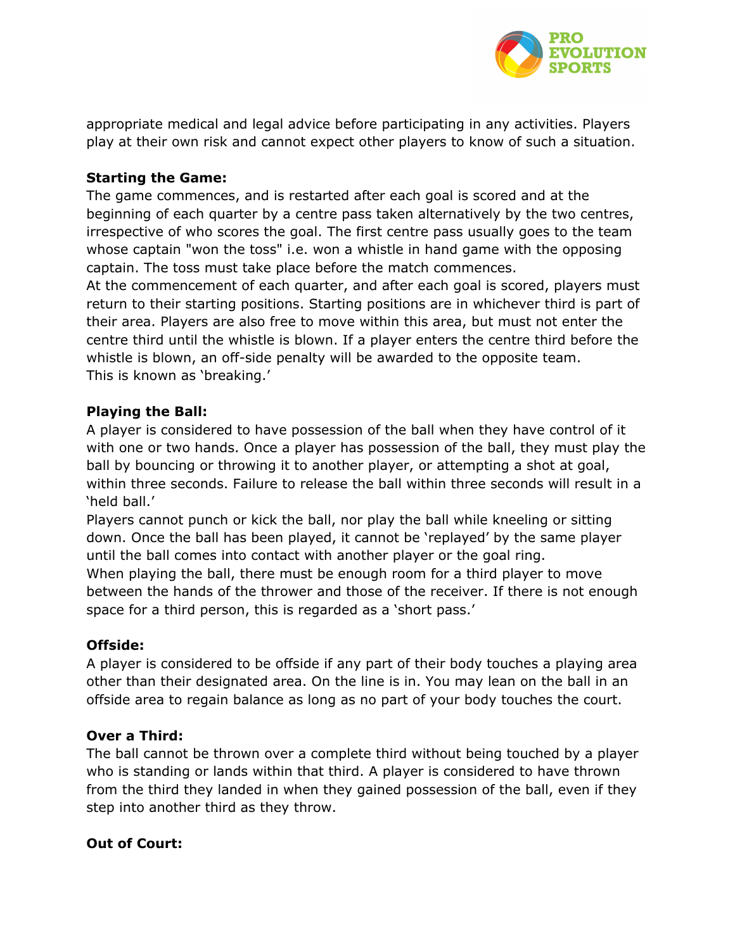

appropriate medical and legal advice before participating in any activities. Players play at their own risk and cannot expect other players to know of such a situation.

## **Starting the Game:**

The game commences, and is restarted after each goal is scored and at the beginning of each quarter by a centre pass taken alternatively by the two centres, irrespective of who scores the goal. The first centre pass usually goes to the team whose captain "won the toss" i.e. won a whistle in hand game with the opposing captain. The toss must take place before the match commences.

At the commencement of each quarter, and after each goal is scored, players must return to their starting positions. Starting positions are in whichever third is part of their area. Players are also free to move within this area, but must not enter the centre third until the whistle is blown. If a player enters the centre third before the whistle is blown, an off-side penalty will be awarded to the opposite team. This is known as 'breaking.'

#### **Playing the Ball:**

A player is considered to have possession of the ball when they have control of it with one or two hands. Once a player has possession of the ball, they must play the ball by bouncing or throwing it to another player, or attempting a shot at goal, within three seconds. Failure to release the ball within three seconds will result in a 'held ball.'

Players cannot punch or kick the ball, nor play the ball while kneeling or sitting down. Once the ball has been played, it cannot be 'replayed' by the same player until the ball comes into contact with another player or the goal ring.

When playing the ball, there must be enough room for a third player to move between the hands of the thrower and those of the receiver. If there is not enough space for a third person, this is regarded as a 'short pass.'

#### **Offside:**

A player is considered to be offside if any part of their body touches a playing area other than their designated area. On the line is in. You may lean on the ball in an offside area to regain balance as long as no part of your body touches the court.

#### **Over a Third:**

The ball cannot be thrown over a complete third without being touched by a player who is standing or lands within that third. A player is considered to have thrown from the third they landed in when they gained possession of the ball, even if they step into another third as they throw.

#### **Out of Court:**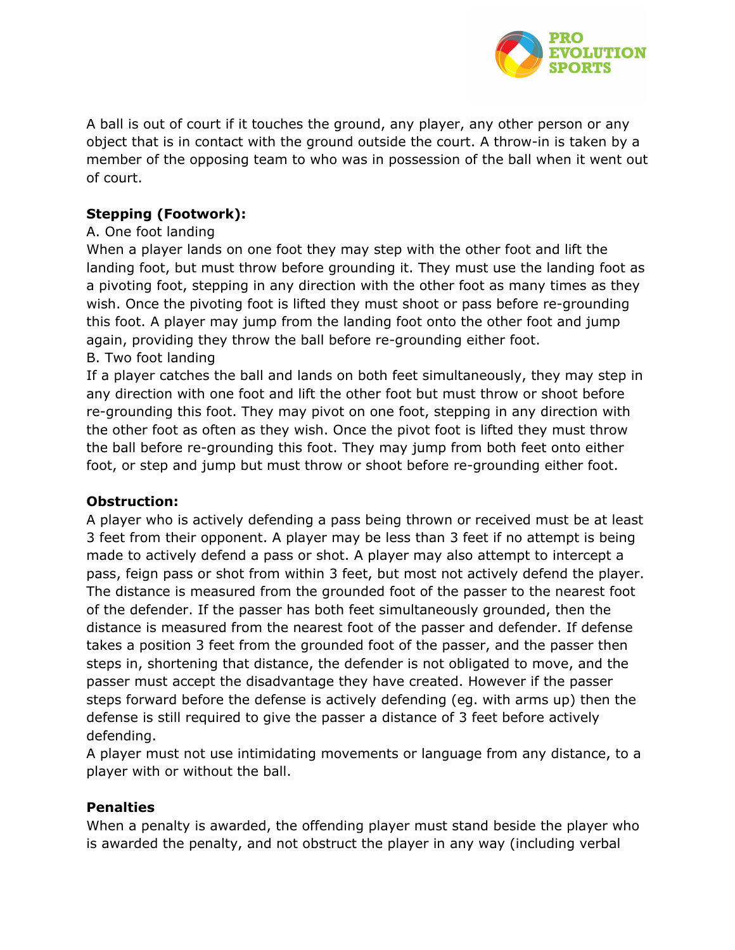

A ball is out of court if it touches the ground, any player, any other person or any object that is in contact with the ground outside the court. A throw-in is taken by a member of the opposing team to who was in possession of the ball when it went out of court.

# **Stepping (Footwork):**

# A. One foot landing

When a player lands on one foot they may step with the other foot and lift the landing foot, but must throw before grounding it. They must use the landing foot as a pivoting foot, stepping in any direction with the other foot as many times as they wish. Once the pivoting foot is lifted they must shoot or pass before re-grounding this foot. A player may jump from the landing foot onto the other foot and jump again, providing they throw the ball before re-grounding either foot. B. Two foot landing

If a player catches the ball and lands on both feet simultaneously, they may step in any direction with one foot and lift the other foot but must throw or shoot before re-grounding this foot. They may pivot on one foot, stepping in any direction with the other foot as often as they wish. Once the pivot foot is lifted they must throw the ball before re-grounding this foot. They may jump from both feet onto either foot, or step and jump but must throw or shoot before re-grounding either foot.

#### **Obstruction:**

A player who is actively defending a pass being thrown or received must be at least 3 feet from their opponent. A player may be less than 3 feet if no attempt is being made to actively defend a pass or shot. A player may also attempt to intercept a pass, feign pass or shot from within 3 feet, but most not actively defend the player. The distance is measured from the grounded foot of the passer to the nearest foot of the defender. If the passer has both feet simultaneously grounded, then the distance is measured from the nearest foot of the passer and defender. If defense takes a position 3 feet from the grounded foot of the passer, and the passer then steps in, shortening that distance, the defender is not obligated to move, and the passer must accept the disadvantage they have created. However if the passer steps forward before the defense is actively defending (eg. with arms up) then the defense is still required to give the passer a distance of 3 feet before actively defending.

A player must not use intimidating movements or language from any distance, to a player with or without the ball.

#### **Penalties**

When a penalty is awarded, the offending player must stand beside the player who is awarded the penalty, and not obstruct the player in any way (including verbal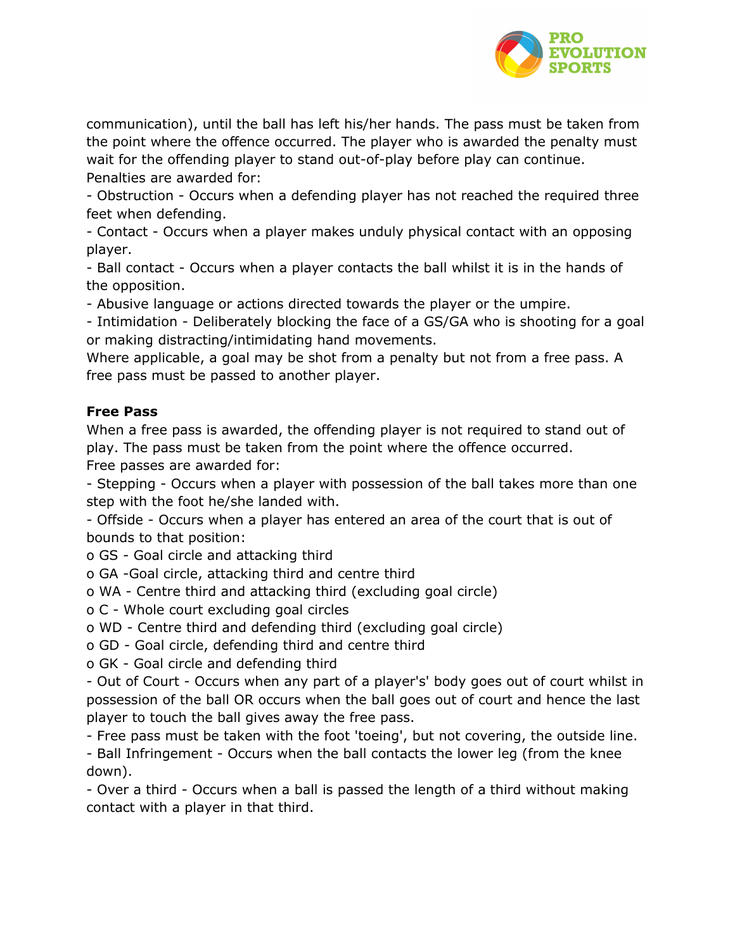

communication), until the ball has left his/her hands. The pass must be taken from the point where the offence occurred. The player who is awarded the penalty must wait for the offending player to stand out-of-play before play can continue. Penalties are awarded for:

- Obstruction - Occurs when a defending player has not reached the required three feet when defending.

- Contact - Occurs when a player makes unduly physical contact with an opposing player.

- Ball contact - Occurs when a player contacts the ball whilst it is in the hands of the opposition.

- Abusive language or actions directed towards the player or the umpire.

- Intimidation - Deliberately blocking the face of a GS/GA who is shooting for a goal or making distracting/intimidating hand movements.

Where applicable, a goal may be shot from a penalty but not from a free pass. A free pass must be passed to another player.

#### **Free Pass**

When a free pass is awarded, the offending player is not required to stand out of play. The pass must be taken from the point where the offence occurred. Free passes are awarded for:

- Stepping - Occurs when a player with possession of the ball takes more than one step with the foot he/she landed with.

- Offside - Occurs when a player has entered an area of the court that is out of bounds to that position:

o GS - Goal circle and attacking third

o GA -Goal circle, attacking third and centre third

o WA - Centre third and attacking third (excluding goal circle)

o C - Whole court excluding goal circles

o WD - Centre third and defending third (excluding goal circle)

o GD - Goal circle, defending third and centre third

o GK - Goal circle and defending third

- Out of Court - Occurs when any part of a player's' body goes out of court whilst in possession of the ball OR occurs when the ball goes out of court and hence the last player to touch the ball gives away the free pass.

- Free pass must be taken with the foot 'toeing', but not covering, the outside line.

- Ball Infringement - Occurs when the ball contacts the lower leg (from the knee down).

- Over a third - Occurs when a ball is passed the length of a third without making contact with a player in that third.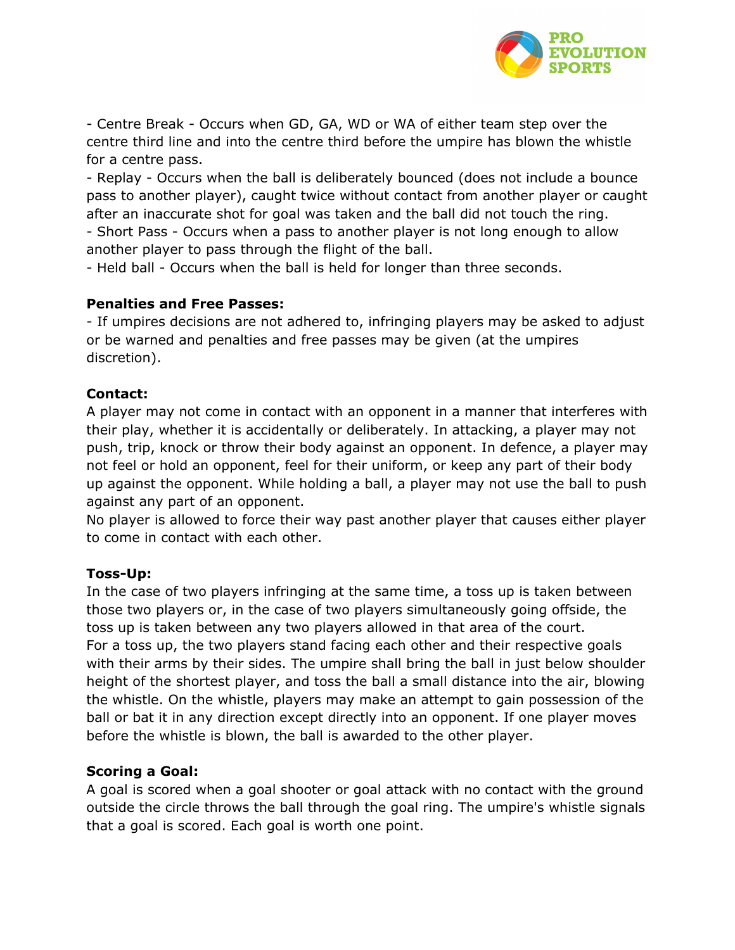

- Centre Break - Occurs when GD, GA, WD or WA of either team step over the centre third line and into the centre third before the umpire has blown the whistle for a centre pass.

- Replay - Occurs when the ball is deliberately bounced (does not include a bounce pass to another player), caught twice without contact from another player or caught after an inaccurate shot for goal was taken and the ball did not touch the ring.

- Short Pass - Occurs when a pass to another player is not long enough to allow another player to pass through the flight of the ball.

- Held ball - Occurs when the ball is held for longer than three seconds.

# **Penalties and Free Passes:**

- If umpires decisions are not adhered to, infringing players may be asked to adjust or be warned and penalties and free passes may be given (at the umpires discretion).

# **Contact:**

A player may not come in contact with an opponent in a manner that interferes with their play, whether it is accidentally or deliberately. In attacking, a player may not push, trip, knock or throw their body against an opponent. In defence, a player may not feel or hold an opponent, feel for their uniform, or keep any part of their body up against the opponent. While holding a ball, a player may not use the ball to push against any part of an opponent.

No player is allowed to force their way past another player that causes either player to come in contact with each other.

# **Toss-Up:**

In the case of two players infringing at the same time, a toss up is taken between those two players or, in the case of two players simultaneously going offside, the toss up is taken between any two players allowed in that area of the court. For a toss up, the two players stand facing each other and their respective goals with their arms by their sides. The umpire shall bring the ball in just below shoulder height of the shortest player, and toss the ball a small distance into the air, blowing the whistle. On the whistle, players may make an attempt to gain possession of the ball or bat it in any direction except directly into an opponent. If one player moves before the whistle is blown, the ball is awarded to the other player.

# **Scoring a Goal:**

A goal is scored when a goal shooter or goal attack with no contact with the ground outside the circle throws the ball through the goal ring. The umpire's whistle signals that a goal is scored. Each goal is worth one point.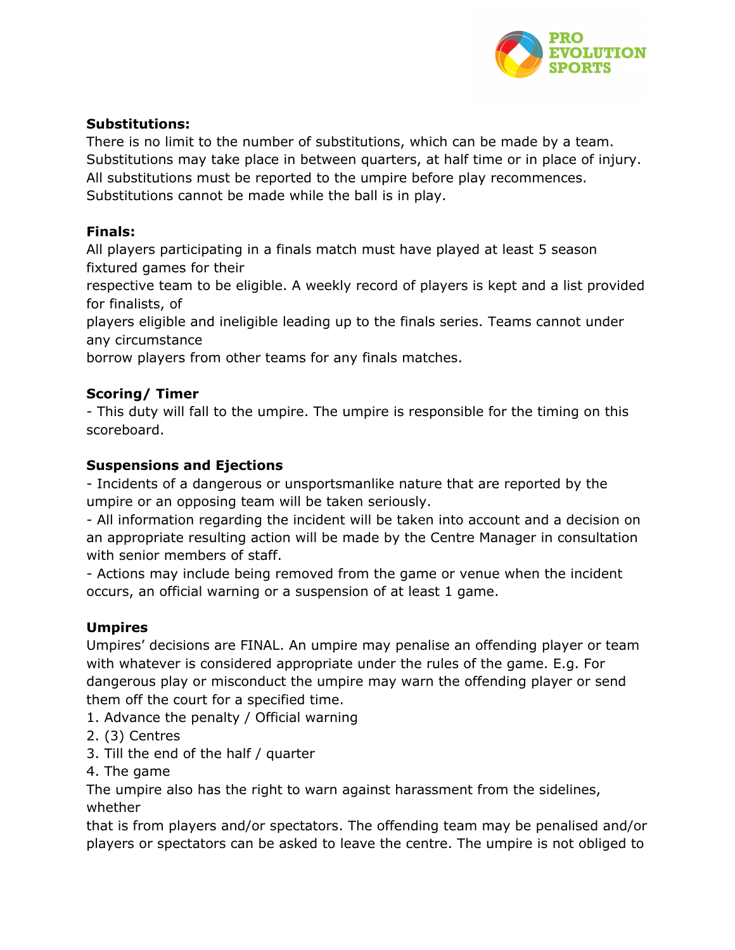

## **Substitutions:**

There is no limit to the number of substitutions, which can be made by a team. Substitutions may take place in between quarters, at half time or in place of injury. All substitutions must be reported to the umpire before play recommences. Substitutions cannot be made while the ball is in play.

# **Finals:**

All players participating in a finals match must have played at least 5 season fixtured games for their

respective team to be eligible. A weekly record of players is kept and a list provided for finalists, of

players eligible and ineligible leading up to the finals series. Teams cannot under any circumstance

borrow players from other teams for any finals matches.

# **Scoring/ Timer**

- This duty will fall to the umpire. The umpire is responsible for the timing on this scoreboard.

# **Suspensions and Ejections**

- Incidents of a dangerous or unsportsmanlike nature that are reported by the umpire or an opposing team will be taken seriously.

- All information regarding the incident will be taken into account and a decision on an appropriate resulting action will be made by the Centre Manager in consultation with senior members of staff.

- Actions may include being removed from the game or venue when the incident occurs, an official warning or a suspension of at least 1 game.

# **Umpires**

Umpires' decisions are FINAL. An umpire may penalise an offending player or team with whatever is considered appropriate under the rules of the game. E.g. For dangerous play or misconduct the umpire may warn the offending player or send them off the court for a specified time.

- 1. Advance the penalty / Official warning
- 2. (3) Centres
- 3. Till the end of the half / quarter
- 4. The game

The umpire also has the right to warn against harassment from the sidelines, whether

that is from players and/or spectators. The offending team may be penalised and/or players or spectators can be asked to leave the centre. The umpire is not obliged to